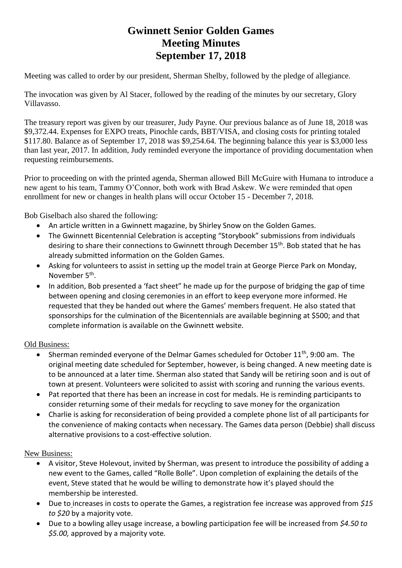## **Gwinnett Senior Golden Games Meeting Minutes September 17, 2018**

Meeting was called to order by our president, Sherman Shelby, followed by the pledge of allegiance.

The invocation was given by Al Stacer, followed by the reading of the minutes by our secretary, Glory Villavasso.

The treasury report was given by our treasurer, Judy Payne. Our previous balance as of June 18, 2018 was \$9,372.44. Expenses for EXPO treats, Pinochle cards, BBT/VISA, and closing costs for printing totaled \$117.80. Balance as of September 17, 2018 was \$9,254.64. The beginning balance this year is \$3,000 less than last year, 2017. In addition, Judy reminded everyone the importance of providing documentation when requesting reimbursements.

Prior to proceeding on with the printed agenda, Sherman allowed Bill McGuire with Humana to introduce a new agent to his team, Tammy O'Connor, both work with Brad Askew. We were reminded that open enrollment for new or changes in health plans will occur October 15 - December 7, 2018.

Bob Giselbach also shared the following:

- An article written in a Gwinnett magazine, by Shirley Snow on the Golden Games.
- The Gwinnett Bicentennial Celebration is accepting "Storybook" submissions from individuals desiring to share their connections to Gwinnett through December 15<sup>th</sup>. Bob stated that he has already submitted information on the Golden Games.
- Asking for volunteers to assist in setting up the model train at George Pierce Park on Monday, November 5<sup>th</sup>.
- In addition, Bob presented a 'fact sheet" he made up for the purpose of bridging the gap of time between opening and closing ceremonies in an effort to keep everyone more informed. He requested that they be handed out where the Games' members frequent. He also stated that sponsorships for the culmination of the Bicentennials are available beginning at \$500; and that complete information is available on the Gwinnett website.

## Old Business:

- Sherman reminded everyone of the Delmar Games scheduled for October 11<sup>th</sup>, 9:00 am. The original meeting date scheduled for September, however, is being changed. A new meeting date is to be announced at a later time. Sherman also stated that Sandy will be retiring soon and is out of town at present. Volunteers were solicited to assist with scoring and running the various events.
- Pat reported that there has been an increase in cost for medals. He is reminding participants to consider returning some of their medals for recycling to save money for the organization
- Charlie is asking for reconsideration of being provided a complete phone list of all participants for the convenience of making contacts when necessary. The Games data person (Debbie) shall discuss alternative provisions to a cost-effective solution.

## New Business:

- A visitor, Steve Holevout, invited by Sherman, was present to introduce the possibility of adding a new event to the Games, called "Rolle Bolle". Upon completion of explaining the details of the event, Steve stated that he would be willing to demonstrate how it's played should the membership be interested.
- Due to increases in costs to operate the Games, a registration fee increase was approved from *\$15 to \$20* by a majority vote.
- Due to a bowling alley usage increase, a bowling participation fee will be increased from *\$4.50 to \$5.00,* approved by a majority vote*.*